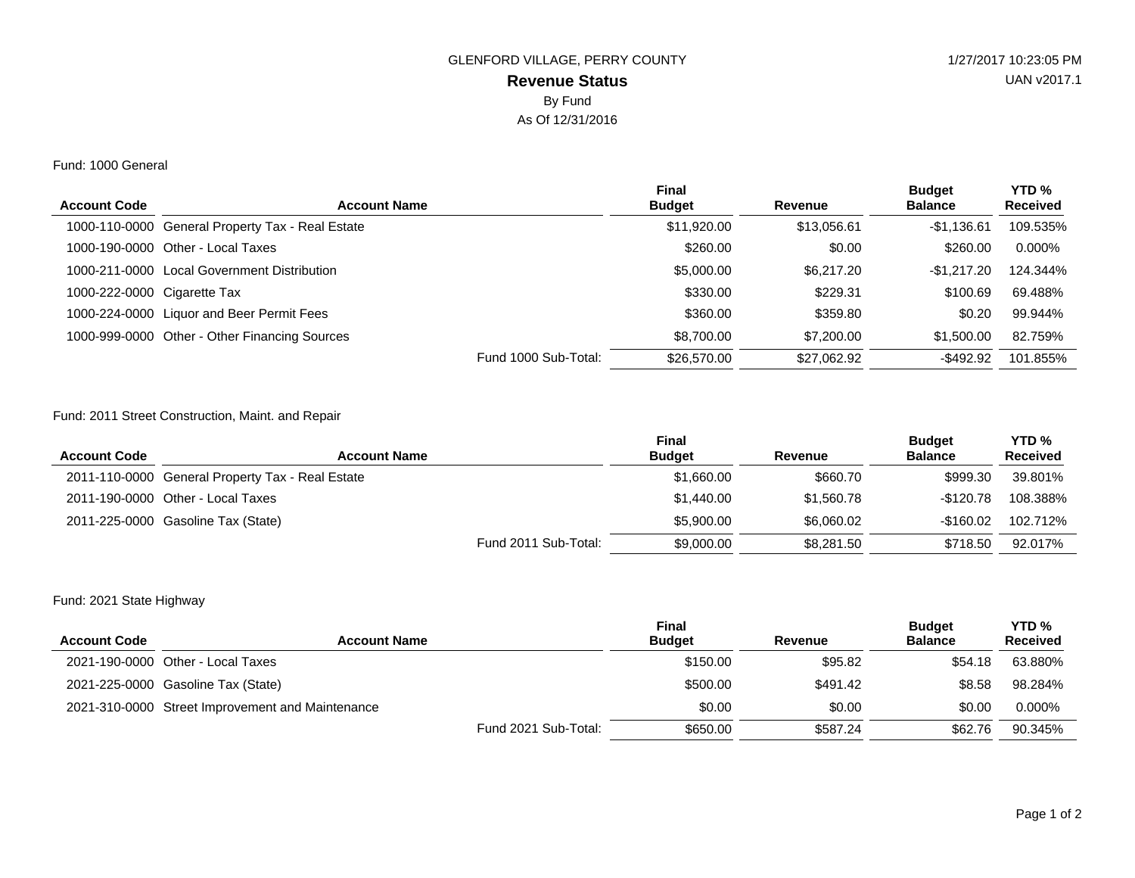# **Revenue Status** GLENFORD VILLAGE, PERRY COUNTY 1/27/2017 10:23:05 PM By Fund As Of 12/31/2016

#### Fund: 1000 General

| <b>Account Code</b>         | <b>Account Name</b>                              | Final<br><b>Budget</b> | Revenue     | <b>Budget</b><br><b>Balance</b> | YTD <sub>%</sub><br><b>Received</b> |
|-----------------------------|--------------------------------------------------|------------------------|-------------|---------------------------------|-------------------------------------|
|                             |                                                  |                        |             |                                 |                                     |
|                             | 1000-110-0000 General Property Tax - Real Estate | \$11,920.00            | \$13,056.61 | $-$1,136.61$                    | 109.535%                            |
|                             | 1000-190-0000 Other - Local Taxes                | \$260.00               | \$0.00      | \$260.00                        | $0.000\%$                           |
|                             | 1000-211-0000 Local Government Distribution      | \$5,000,00             | \$6,217,20  | $-$1.217.20$                    | 124.344%                            |
| 1000-222-0000 Cigarette Tax |                                                  | \$330.00               | \$229.31    | \$100.69                        | 69.488%                             |
|                             | 1000-224-0000 Liquor and Beer Permit Fees        | \$360.00               | \$359.80    | \$0.20                          | 99.944%                             |
|                             | 1000-999-0000 Other - Other Financing Sources    | \$8,700,00             | \$7,200,00  | \$1,500.00                      | 82.759%                             |
|                             | Fund 1000 Sub-Total:                             | \$26,570,00            | \$27,062.92 | $-$ \$492.92                    | 101.855%                            |

## Fund: 2011 Street Construction, Maint. and Repair

| <b>Account Code</b> | <b>Account Name</b>                              | <b>Final</b><br><b>Budget</b> | Revenue    | <b>Budget</b><br><b>Balance</b> | YTD <sub>%</sub><br><b>Received</b> |
|---------------------|--------------------------------------------------|-------------------------------|------------|---------------------------------|-------------------------------------|
|                     | 2011-110-0000 General Property Tax - Real Estate | \$1,660.00                    | \$660.70   | \$999.30                        | 39.801%                             |
|                     | 2011-190-0000 Other - Local Taxes                | \$1,440.00                    | \$1.560.78 | -\$120.78                       | 108.388%                            |
|                     | 2011-225-0000 Gasoline Tax (State)               | \$5,900,00                    | \$6,060,02 | $-$160.02$                      | 102.712%                            |
|                     | Fund 2011 Sub-Total:                             | \$9,000.00                    | \$8,281,50 | \$718.50                        | 92.017%                             |

## Fund: 2021 State Highway

| <b>Account Code</b> | <b>Account Name</b>                              | <b>Final</b><br><b>Budget</b> | Revenue  | <b>Budget</b><br><b>Balance</b> | YTD <sub>%</sub><br><b>Received</b> |
|---------------------|--------------------------------------------------|-------------------------------|----------|---------------------------------|-------------------------------------|
|                     | 2021-190-0000 Other - Local Taxes                | \$150.00                      | \$95.82  | \$54.18                         | 63.880%                             |
|                     | 2021-225-0000 Gasoline Tax (State)               | \$500.00                      | \$491.42 | \$8.58                          | 98.284%                             |
|                     | 2021-310-0000 Street Improvement and Maintenance | \$0.00                        | \$0.00   | \$0.00                          | 0.000%                              |
|                     | Fund 2021 Sub-Total:                             | \$650.00                      | \$587.24 | \$62.76                         | 90.345%                             |